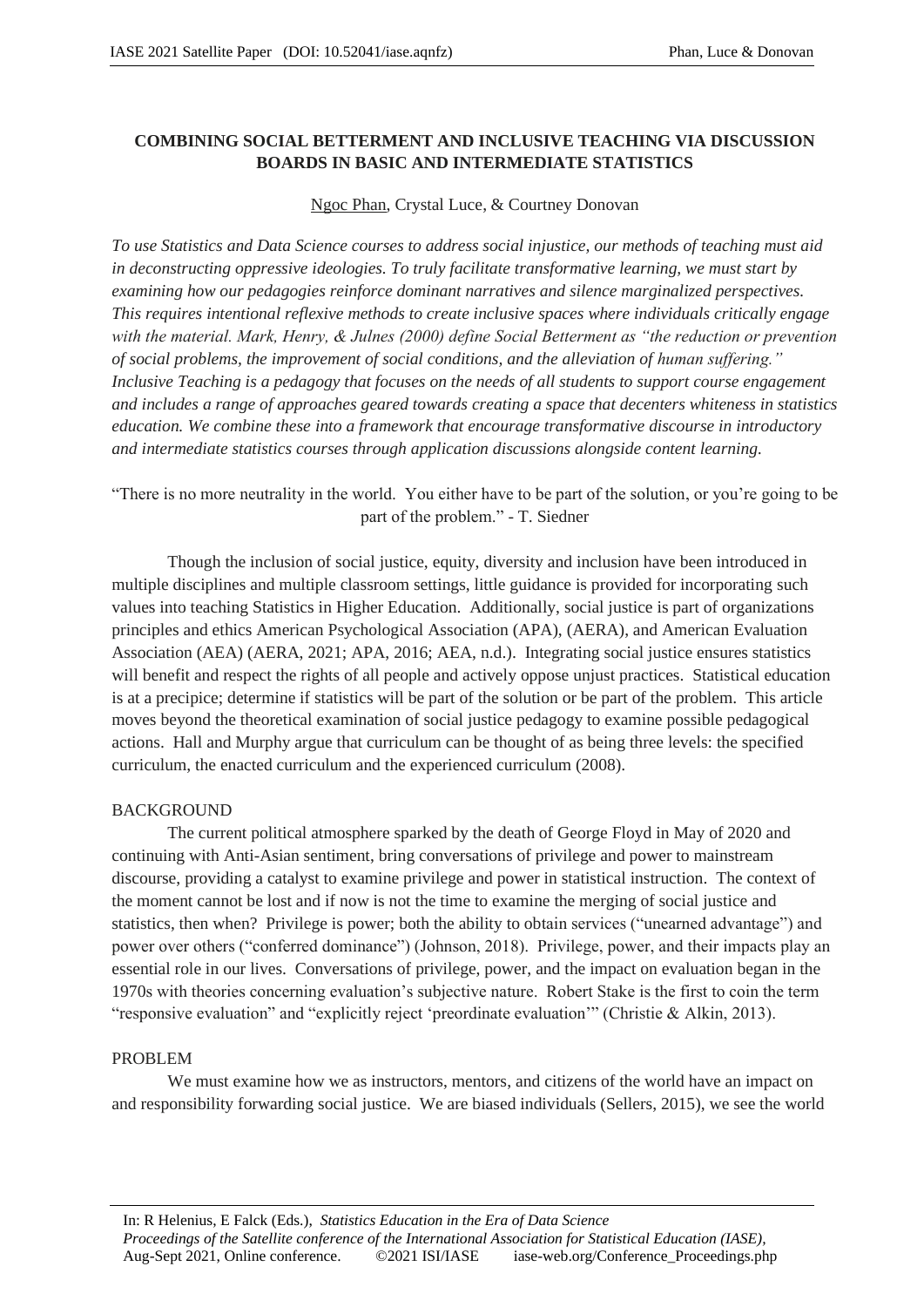# **COMBINING SOCIAL BETTERMENT AND INCLUSIVE TEACHING VIA DISCUSSION BOARDS IN BASIC AND INTERMEDIATE STATISTICS**

## Ngoc Phan, Crystal Luce, & Courtney Donovan

*To use Statistics and Data Science courses to address social injustice, our methods of teaching must aid in deconstructing oppressive ideologies. To truly facilitate transformative learning, we must start by examining how our pedagogies reinforce dominant narratives and silence marginalized perspectives. This requires intentional reflexive methods to create inclusive spaces where individuals critically engage with the material. Mark, Henry, & Julnes (2000) define Social Betterment as "the reduction or prevention of social problems, the improvement of social conditions, and the alleviation of human suffering." Inclusive Teaching is a pedagogy that focuses on the needs of all students to support course engagement and includes a range of approaches geared towards creating a space that decenters whiteness in statistics education. We combine these into a framework that encourage transformative discourse in introductory and intermediate statistics courses through application discussions alongside content learning.*

# "There is no more neutrality in the world. You either have to be part of the solution, or you're going to be part of the problem." - T. Siedner

Though the inclusion of social justice, equity, diversity and inclusion have been introduced in multiple disciplines and multiple classroom settings, little guidance is provided for incorporating such values into teaching Statistics in Higher Education. Additionally, social justice is part of organizations principles and ethics American Psychological Association (APA), (AERA), and American Evaluation Association (AEA) (AERA, 2021; APA, 2016; AEA, n.d.). Integrating social justice ensures statistics will benefit and respect the rights of all people and actively oppose unjust practices. Statistical education is at a precipice; determine if statistics will be part of the solution or be part of the problem. This article moves beyond the theoretical examination of social justice pedagogy to examine possible pedagogical actions. Hall and Murphy argue that curriculum can be thought of as being three levels: the specified curriculum, the enacted curriculum and the experienced curriculum (2008).

### BACKGROUND

The current political atmosphere sparked by the death of George Floyd in May of 2020 and continuing with Anti-Asian sentiment, bring conversations of privilege and power to mainstream discourse, providing a catalyst to examine privilege and power in statistical instruction. The context of the moment cannot be lost and if now is not the time to examine the merging of social justice and statistics, then when? Privilege is power; both the ability to obtain services ("unearned advantage") and power over others ("conferred dominance") (Johnson, 2018). Privilege, power, and their impacts play an essential role in our lives. Conversations of privilege, power, and the impact on evaluation began in the 1970s with theories concerning evaluation's subjective nature. Robert Stake is the first to coin the term "responsive evaluation" and "explicitly reject 'preordinate evaluation'" (Christie & Alkin, 2013).

### PROBLEM

We must examine how we as instructors, mentors, and citizens of the world have an impact on and responsibility forwarding social justice. We are biased individuals (Sellers, 2015), we see the world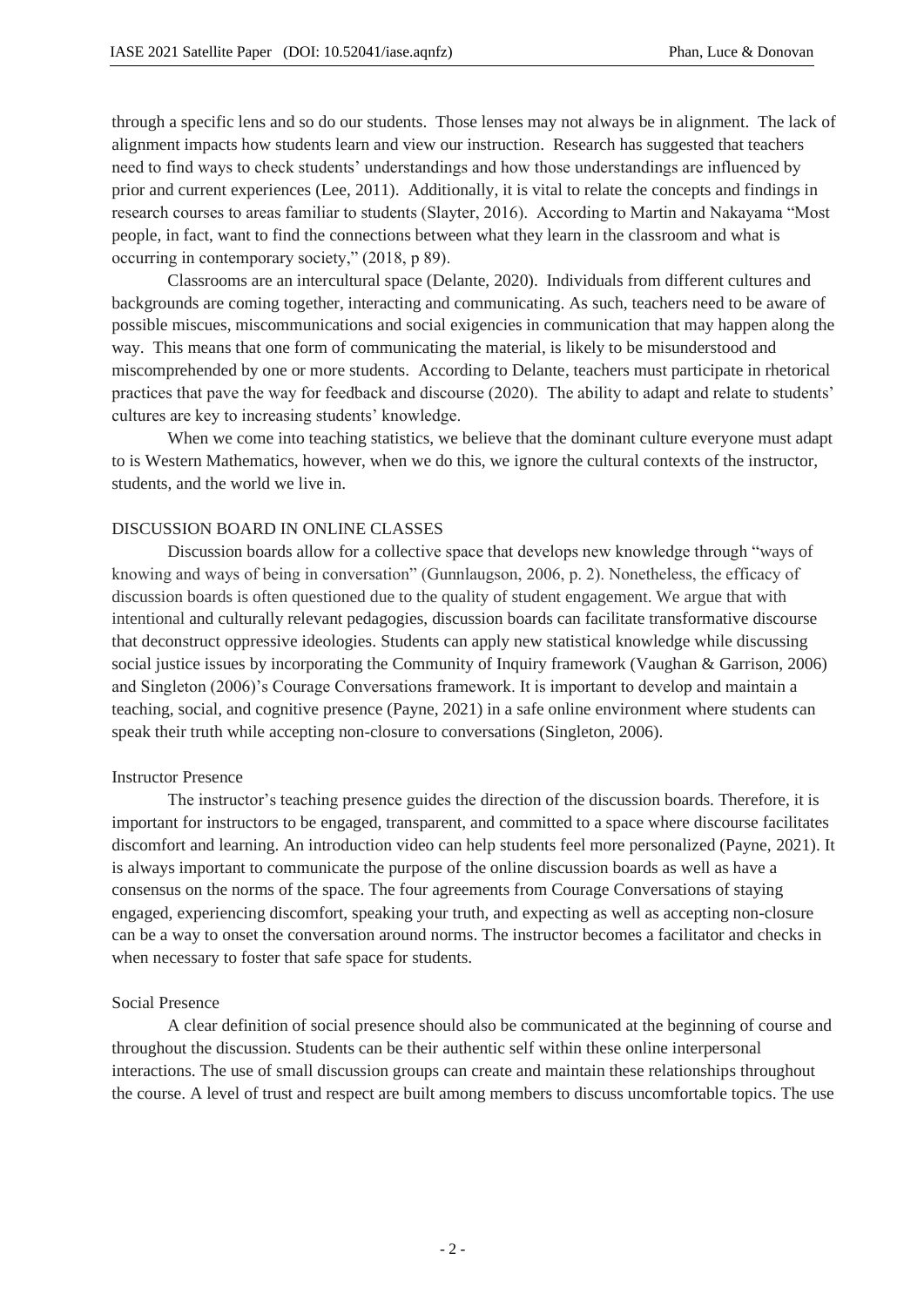through a specific lens and so do our students. Those lenses may not always be in alignment. The lack of alignment impacts how students learn and view our instruction. Research has suggested that teachers need to find ways to check students' understandings and how those understandings are influenced by prior and current experiences (Lee, 2011). Additionally, it is vital to relate the concepts and findings in research courses to areas familiar to students (Slayter, 2016). According to Martin and Nakayama "Most people, in fact, want to find the connections between what they learn in the classroom and what is occurring in contemporary society," (2018, p 89).

Classrooms are an intercultural space (Delante, 2020). Individuals from different cultures and backgrounds are coming together, interacting and communicating. As such, teachers need to be aware of possible miscues, miscommunications and social exigencies in communication that may happen along the way. This means that one form of communicating the material, is likely to be misunderstood and miscomprehended by one or more students. According to Delante, teachers must participate in rhetorical practices that pave the way for feedback and discourse (2020). The ability to adapt and relate to students' cultures are key to increasing students' knowledge.

When we come into teaching statistics, we believe that the dominant culture everyone must adapt to is Western Mathematics, however, when we do this, we ignore the cultural contexts of the instructor, students, and the world we live in.

### DISCUSSION BOARD IN ONLINE CLASSES

Discussion boards allow for a collective space that develops new knowledge through "ways of knowing and ways of being in conversation" (Gunnlaugson, 2006, p. 2). Nonetheless, the efficacy of discussion boards is often questioned due to the quality of student engagement. We argue that with intentional and culturally relevant pedagogies, discussion boards can facilitate transformative discourse that deconstruct oppressive ideologies. Students can apply new statistical knowledge while discussing social justice issues by incorporating the Community of Inquiry framework (Vaughan & Garrison, 2006) and Singleton (2006)'s Courage Conversations framework. It is important to develop and maintain a teaching, social, and cognitive presence (Payne, 2021) in a safe online environment where students can speak their truth while accepting non-closure to conversations (Singleton, 2006).

#### Instructor Presence

The instructor's teaching presence guides the direction of the discussion boards. Therefore, it is important for instructors to be engaged, transparent, and committed to a space where discourse facilitates discomfort and learning. An introduction video can help students feel more personalized (Payne, 2021). It is always important to communicate the purpose of the online discussion boards as well as have a consensus on the norms of the space. The four agreements from Courage Conversations of staying engaged, experiencing discomfort, speaking your truth, and expecting as well as accepting non-closure can be a way to onset the conversation around norms. The instructor becomes a facilitator and checks in when necessary to foster that safe space for students.

#### Social Presence

A clear definition of social presence should also be communicated at the beginning of course and throughout the discussion. Students can be their authentic self within these online interpersonal interactions. The use of small discussion groups can create and maintain these relationships throughout the course. A level of trust and respect are built among members to discuss uncomfortable topics. The use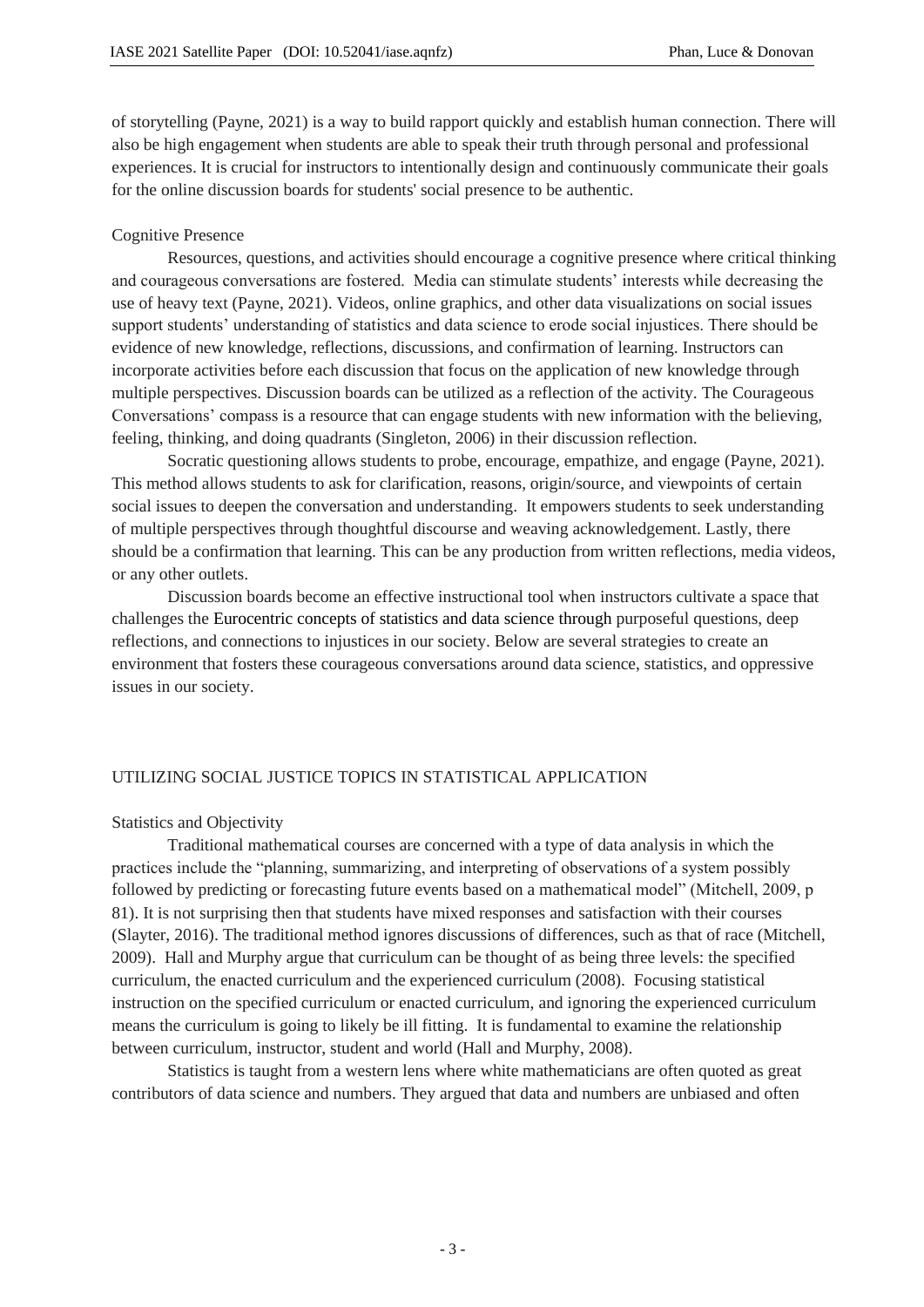of storytelling (Payne, 2021) is a way to build rapport quickly and establish human connection. There will also be high engagement when students are able to speak their truth through personal and professional experiences. It is crucial for instructors to intentionally design and continuously communicate their goals for the online discussion boards for students' social presence to be authentic.

### Cognitive Presence

Resources, questions, and activities should encourage a cognitive presence where critical thinking and courageous conversations are fostered. Media can stimulate students' interests while decreasing the use of heavy text (Payne, 2021). Videos, online graphics, and other data visualizations on social issues support students' understanding of statistics and data science to erode social injustices. There should be evidence of new knowledge, reflections, discussions, and confirmation of learning. Instructors can incorporate activities before each discussion that focus on the application of new knowledge through multiple perspectives. Discussion boards can be utilized as a reflection of the activity. The Courageous Conversations' compass is a resource that can engage students with new information with the believing, feeling, thinking, and doing quadrants (Singleton, 2006) in their discussion reflection.

Socratic questioning allows students to probe, encourage, empathize, and engage (Payne, 2021). This method allows students to ask for clarification, reasons, origin/source, and viewpoints of certain social issues to deepen the conversation and understanding. It empowers students to seek understanding of multiple perspectives through thoughtful discourse and weaving acknowledgement. Lastly, there should be a confirmation that learning. This can be any production from written reflections, media videos, or any other outlets.

Discussion boards become an effective instructional tool when instructors cultivate a space that challenges the Eurocentric concepts of statistics and data science through purposeful questions, deep reflections, and connections to injustices in our society. Below are several strategies to create an environment that fosters these courageous conversations around data science, statistics, and oppressive issues in our society.

### UTILIZING SOCIAL JUSTICE TOPICS IN STATISTICAL APPLICATION

#### Statistics and Objectivity

Traditional mathematical courses are concerned with a type of data analysis in which the practices include the "planning, summarizing, and interpreting of observations of a system possibly followed by predicting or forecasting future events based on a mathematical model" (Mitchell, 2009, p 81). It is not surprising then that students have mixed responses and satisfaction with their courses (Slayter, 2016). The traditional method ignores discussions of differences, such as that of race (Mitchell, 2009). Hall and Murphy argue that curriculum can be thought of as being three levels: the specified curriculum, the enacted curriculum and the experienced curriculum (2008). Focusing statistical instruction on the specified curriculum or enacted curriculum, and ignoring the experienced curriculum means the curriculum is going to likely be ill fitting. It is fundamental to examine the relationship between curriculum, instructor, student and world (Hall and Murphy, 2008).

Statistics is taught from a western lens where white mathematicians are often quoted as great contributors of data science and numbers. They argued that data and numbers are unbiased and often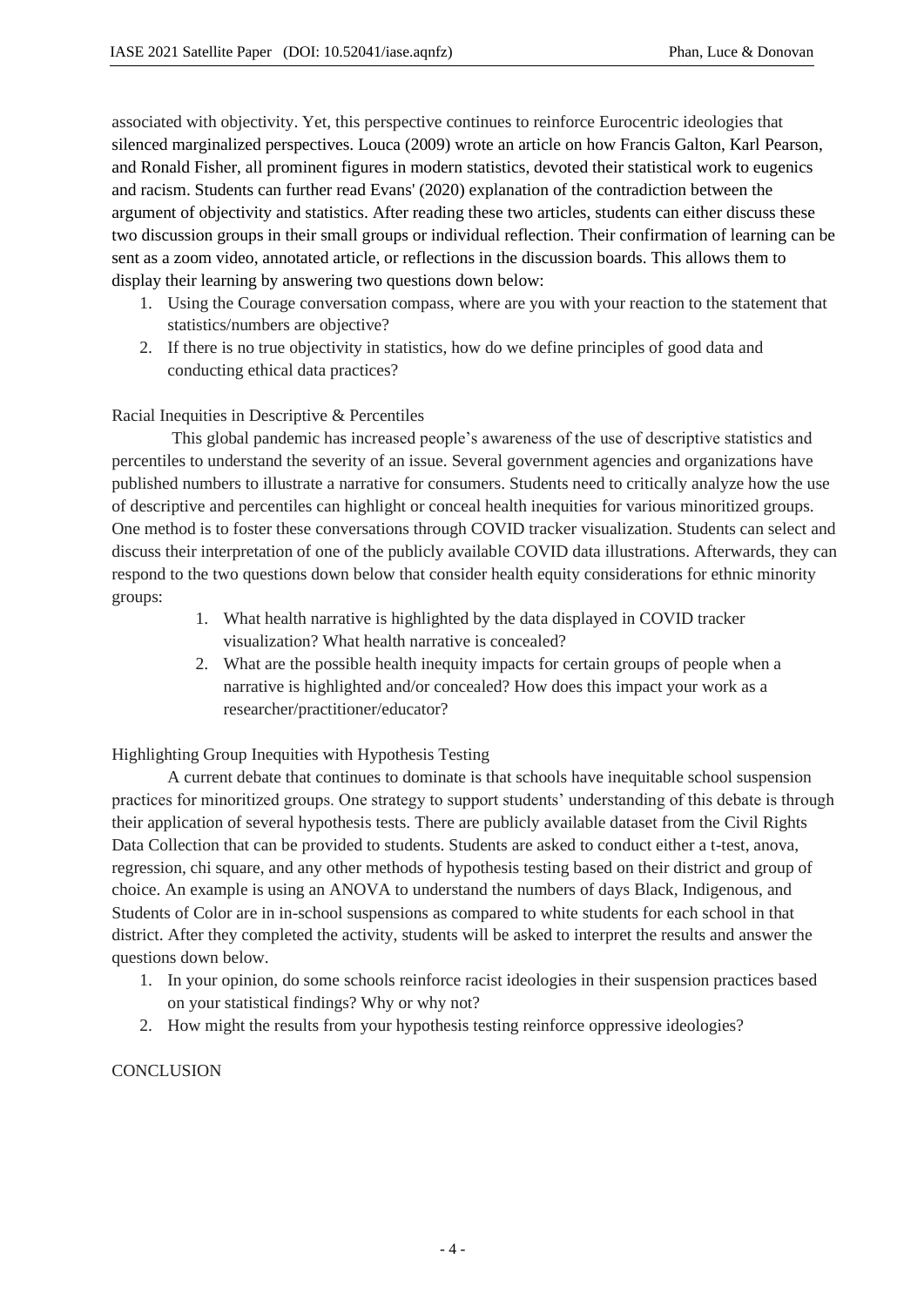associated with objectivity. Yet, this perspective continues to reinforce Eurocentric ideologies that silenced marginalized perspectives. Louca (2009) wrote an article on how Francis Galton, Karl Pearson, and Ronald Fisher, all prominent figures in modern statistics, devoted their statistical work to eugenics and racism. Students can further read Evans' (2020) explanation of the contradiction between the argument of objectivity and statistics. After reading these two articles, students can either discuss these two discussion groups in their small groups or individual reflection. Their confirmation of learning can be sent as a zoom video, annotated article, or reflections in the discussion boards. This allows them to display their learning by answering two questions down below:

- 1. Using the Courage conversation compass, where are you with your reaction to the statement that statistics/numbers are objective?
- 2. If there is no true objectivity in statistics, how do we define principles of good data and conducting ethical data practices?

## Racial Inequities in Descriptive & Percentiles

This global pandemic has increased people's awareness of the use of descriptive statistics and percentiles to understand the severity of an issue. Several government agencies and organizations have published numbers to illustrate a narrative for consumers. Students need to critically analyze how the use of descriptive and percentiles can highlight or conceal health inequities for various minoritized groups. One method is to foster these conversations through COVID tracker visualization. Students can select and discuss their interpretation of one of the publicly available COVID data illustrations. Afterwards, they can respond to the two questions down below that consider health equity considerations for ethnic minority groups:

- 1. What health narrative is highlighted by the data displayed in COVID tracker visualization? What health narrative is concealed?
- 2. What are the possible health inequity impacts for certain groups of people when a narrative is highlighted and/or concealed? How does this impact your work as a researcher/practitioner/educator?

Highlighting Group Inequities with Hypothesis Testing

A current debate that continues to dominate is that schools have inequitable school suspension practices for minoritized groups. One strategy to support students' understanding of this debate is through their application of several hypothesis tests. There are publicly available dataset from the Civil Rights Data Collection that can be provided to students. Students are asked to conduct either a t-test, anova, regression, chi square, and any other methods of hypothesis testing based on their district and group of choice. An example is using an ANOVA to understand the numbers of days Black, Indigenous, and Students of Color are in in-school suspensions as compared to white students for each school in that district. After they completed the activity, students will be asked to interpret the results and answer the questions down below.

- 1. In your opinion, do some schools reinforce racist ideologies in their suspension practices based on your statistical findings? Why or why not?
- 2. How might the results from your hypothesis testing reinforce oppressive ideologies?

### **CONCLUSION**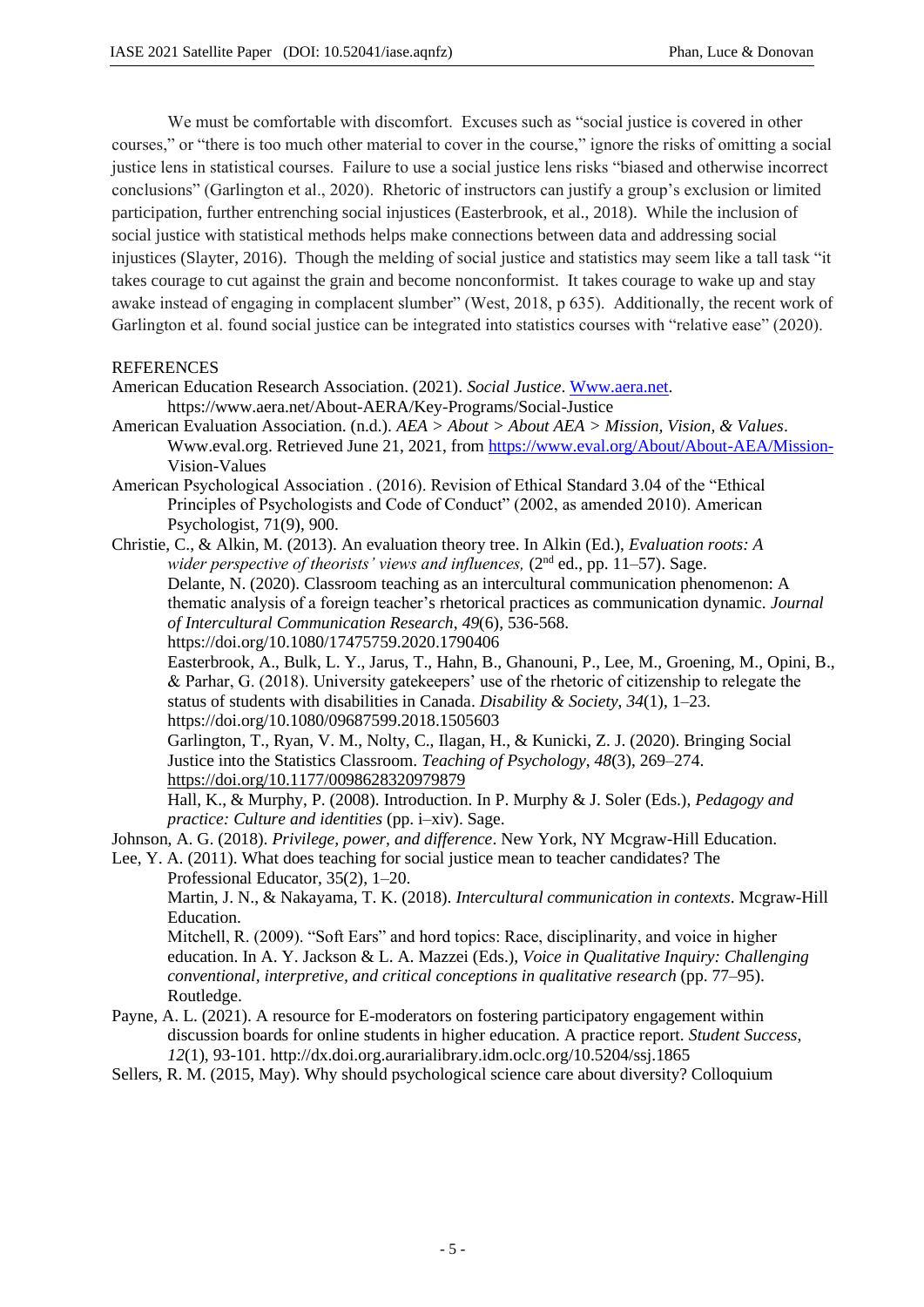We must be comfortable with discomfort. Excuses such as "social justice is covered in other courses," or "there is too much other material to cover in the course," ignore the risks of omitting a social justice lens in statistical courses. Failure to use a social justice lens risks "biased and otherwise incorrect conclusions" (Garlington et al., 2020). Rhetoric of instructors can justify a group's exclusion or limited participation, further entrenching social injustices (Easterbrook, et al., 2018). While the inclusion of social justice with statistical methods helps make connections between data and addressing social injustices (Slayter, 2016). Though the melding of social justice and statistics may seem like a tall task "it takes courage to cut against the grain and become nonconformist. It takes courage to wake up and stay awake instead of engaging in complacent slumber" (West, 2018, p 635). Additionally, the recent work of Garlington et al. found social justice can be integrated into statistics courses with "relative ease" (2020).

### REFERENCES

- American Education Research Association. (2021). *Social Justice*. Www.aera.net. https://www.aera.net/About-AERA/Key-Programs/Social-Justice
- American Evaluation Association. (n.d.). *AEA > About > About AEA > Mission, Vision, & Values*. Www.eval.org. Retrieved June 21, 2021, from https://www.eval.org/About/About-AEA/Mission-Vision-Values
- American Psychological Association . (2016). Revision of Ethical Standard 3.04 of the "Ethical Principles of Psychologists and Code of Conduct" (2002, as amended 2010). American Psychologist, 71(9), 900.
- Christie, C., & Alkin, M. (2013). An evaluation theory tree. In Alkin (Ed.), *Evaluation roots: A wider perspective of theorists' views and influences,* (2<sup>nd</sup> ed., pp. 11–57). Sage. Delante, N. (2020). Classroom teaching as an intercultural communication phenomenon: A thematic analysis of a foreign teacher's rhetorical practices as communication dynamic. *Journal of Intercultural Communication Research*, *49*(6), 536-568. https://doi.org/10.1080/17475759.2020.1790406

Easterbrook, A., Bulk, L. Y., Jarus, T., Hahn, B., Ghanouni, P., Lee, M., Groening, M., Opini, B., & Parhar, G. (2018). University gatekeepers' use of the rhetoric of citizenship to relegate the status of students with disabilities in Canada. *Disability & Society*, *34*(1), 1–23. https://doi.org/10.1080/09687599.2018.1505603

Garlington, T., Ryan, V. M., Nolty, C., Ilagan, H., & Kunicki, Z. J. (2020). Bringing Social Justice into the Statistics Classroom. *Teaching of Psychology*, *48*(3), 269–274. https://doi.org/10.1177/0098628320979879

Hall, K., & Murphy, P. (2008). Introduction. In P. Murphy & J. Soler (Eds.), *Pedagogy and practice: Culture and identities* (pp. i–xiv). Sage.

Johnson, A. G. (2018). *Privilege, power, and difference*. New York, NY Mcgraw-Hill Education.

Lee, Y. A. (2011). What does teaching for social justice mean to teacher candidates? The Professional Educator, 35(2), 1–20.

Martin, J. N., & Nakayama, T. K. (2018). *Intercultural communication in contexts*. Mcgraw-Hill Education.

Mitchell, R. (2009). "Soft Ears" and hord topics: Race, disciplinarity, and voice in higher education. In A. Y. Jackson & L. A. Mazzei (Eds.), *Voice in Qualitative Inquiry: Challenging conventional, interpretive, and critical conceptions in qualitative research* (pp. 77–95). Routledge.

- Payne, A. L. (2021). A resource for E-moderators on fostering participatory engagement within discussion boards for online students in higher education. A practice report. *Student Success*, *12*(1), 93-101. http://dx.doi.org.aurarialibrary.idm.oclc.org/10.5204/ssj.1865
- Sellers, R. M. (2015, May). Why should psychological science care about diversity? Colloquium